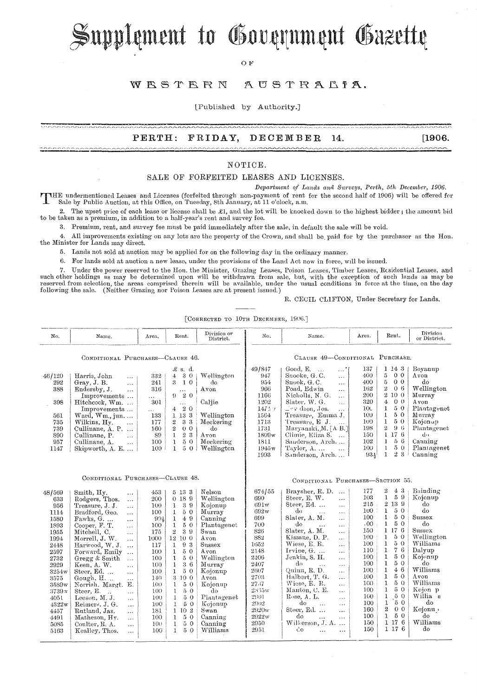Supplement to Government Gazette

OF

#### WESTERN AUSTRALIA.

[Published by Authority.]

### **PERTH: FRIDAY, DECElVIBER 14. [1906.**

#### NOTICE.

#### SALE OF FORFEITED LEASES AND LICENSES.

*Department of Lands ana SU1'veys, Perth, 5th Decembc)', 1906.* 

THE undermentioned Leases and Licenses (forfeited through non-payment of rent for the second half of 1906) will be offered for<br>Sale by Public Auction, at this Office, on Tuesday, 8th January, at 11 o'clock, a.m.

2. The upset price of each lease or license shall be £1, and the lot will be knocked down to the highest bidder; the amount bid to be taken as a premium, in addition to a half-year's rent and survey fee.

3. Premium, rent, and survey fee must be paid immediately after the sale, in default the sale will be void.

4. All improvements existing on any lots are the property of the Crown, and shall be. paid for by the purchaser as the Hon. the Minister for Lands may direct.

5. Lands not sold at auction may he applied for on the following day in the ordinary manner.

6. For lands sold at auction a new lease, under the provisions of the Land Act now in force, will be issued.

7. Under the power reserved to the Hon. the Minister, Grazing Leases, Poison Leases, Timber Leases, Residential Leases, and<br>such other holdings as may be determined upon will be withdrawn from sale, but, with the exception following the sale. (Neither Grazing nor Poison Leases are at present issued.)

R. CECIL CLIFTON, Under Secretary for Lands.

[CORRECTED TO 10TH DECEMBER, 1906.]

| No.                                                                                                                                                                              | Name.                                                                                                                                                                                                                                                                                                                                                                                                                                                                                                                                                                                                                                                                                        | Area.                                                                                                                                                   | Rent.                                                                                                                                                                                                                                                                                                                                                                                                              | Division or<br>District.                                                                                                                                                                                                                    | No.                                                                                                                                                                          | Name.                                                                                                                                                                                                                                                                                                                                                                                                                                                                                                                                                                                                                                                                               | Area.                                                                                                                                                   | Rent.                                                                                                                                                                                                                                                                                                                                                                                               | Division<br>or District.                                                                                                                                                                                        |  |
|----------------------------------------------------------------------------------------------------------------------------------------------------------------------------------|----------------------------------------------------------------------------------------------------------------------------------------------------------------------------------------------------------------------------------------------------------------------------------------------------------------------------------------------------------------------------------------------------------------------------------------------------------------------------------------------------------------------------------------------------------------------------------------------------------------------------------------------------------------------------------------------|---------------------------------------------------------------------------------------------------------------------------------------------------------|--------------------------------------------------------------------------------------------------------------------------------------------------------------------------------------------------------------------------------------------------------------------------------------------------------------------------------------------------------------------------------------------------------------------|---------------------------------------------------------------------------------------------------------------------------------------------------------------------------------------------------------------------------------------------|------------------------------------------------------------------------------------------------------------------------------------------------------------------------------|-------------------------------------------------------------------------------------------------------------------------------------------------------------------------------------------------------------------------------------------------------------------------------------------------------------------------------------------------------------------------------------------------------------------------------------------------------------------------------------------------------------------------------------------------------------------------------------------------------------------------------------------------------------------------------------|---------------------------------------------------------------------------------------------------------------------------------------------------------|-----------------------------------------------------------------------------------------------------------------------------------------------------------------------------------------------------------------------------------------------------------------------------------------------------------------------------------------------------------------------------------------------------|-----------------------------------------------------------------------------------------------------------------------------------------------------------------------------------------------------------------|--|
| CONDITIONAL PURCHASES-CLAUSE 46.                                                                                                                                                 |                                                                                                                                                                                                                                                                                                                                                                                                                                                                                                                                                                                                                                                                                              |                                                                                                                                                         |                                                                                                                                                                                                                                                                                                                                                                                                                    |                                                                                                                                                                                                                                             |                                                                                                                                                                              | CLAUSE 49-CONDITIONAL PURCHASE.                                                                                                                                                                                                                                                                                                                                                                                                                                                                                                                                                                                                                                                     |                                                                                                                                                         |                                                                                                                                                                                                                                                                                                                                                                                                     |                                                                                                                                                                                                                 |  |
| 46/120<br>292<br>388<br>398<br>561<br>735<br>739<br>890<br>957<br>1147                                                                                                           | Harris, John<br>$\cdots$<br>Gray, J. B.<br>$\ddotsc$<br>Endersby, J.<br>$\cdots$<br>Improvements<br>Hitchcock, Wm.<br>Improvements<br>Ward, $Wm$ ., jun<br>Wilkins, Hy.<br>$\ldots$<br>Cullinane, A. P.<br>Cullinane, P.<br>$\sim$ .<br>Cullinane, A.<br>$\ldots$<br>Skipworth, $A$ . E. $\dots$                                                                                                                                                                                                                                                                                                                                                                                             | 332<br>241<br>316<br>$\cdots$<br>301<br>.<br>133<br>177<br>160<br>89<br>100<br>100                                                                      | $\pounds$ s. d.<br>30<br>4<br>$\mathbf{3}$<br>10<br>$\ldots$<br>20<br>9.<br>$\ldots$<br>20<br>$\overline{4}$<br>1 13 3<br>$\overline{2}$<br>33<br>$\,2$<br>0 <sub>0</sub><br>$2\,$ $3\,$<br>$\mathbf{1}$<br>$\mathbf{1}$<br>50<br>50<br>$\mathbf{1}$                                                                                                                                                               | Wellington<br>do<br>Avon<br>Caliie<br>Wellington<br>Meckering<br>do<br>Avon<br>Meckering<br>Wellington                                                                                                                                      | 49/847<br>947<br>954<br>966<br>1166<br>1202<br>147.77<br>1564<br>1713<br>1731<br>1809w<br>1811<br>1945 <sub>w</sub><br>1993                                                  | Good, E.<br>. *<br>$\sim$<br>Snooke, G.C.<br>$\ddotsc$<br>Snook, G.C.<br>$\cdots$<br>Poad, Edwin<br>.<br>Nicholls, N. G.<br>$\overline{1}$<br>Slater, W. G.<br>$\ddotsc$<br>$\Box$ sv dson, Jos.<br>i in<br>Treasure, Emma J.<br>Treasure, E.J.<br>Maryanski, M. [A B.]<br>Climie, Eliza S.<br>Sanderson, Arch<br>Taylor, A.<br>$\ddotsc$<br>Sanderson, Arch                                                                                                                                                                                                                                                                                                                        | 137<br>400<br>400<br>162<br>200<br>320<br>10 <sub>1</sub><br>100<br>100<br>198<br>150<br>102<br>100<br>934                                              | 1 14 3<br>5<br>0 <sub>0</sub><br>$\overline{5}$<br>0 <sub>0</sub><br>$\overline{2}$<br>06<br>$\mathbf{2}$<br>10 0<br>4<br>0 <sup>0</sup><br>$\mathbf{1}$<br>50<br>$\mathbf{1}$<br>50<br>1<br>50<br>$\boldsymbol{2}$<br>$9-6$<br>1 17 6<br>56<br>$\mathbf{1}$<br>50<br>$\mathbf{I}$<br>23<br>1                                                                                                       | Boyanup<br>Avon<br>do<br>Wellington<br>Murray<br>Avon<br>Plantagenet<br>Murray<br>Kojonup<br>Plantagenet<br>do<br>Canning<br>Plantagenet<br>Canning                                                             |  |
| CONDITIONAL PURCHASES-CLAUSE 48.                                                                                                                                                 |                                                                                                                                                                                                                                                                                                                                                                                                                                                                                                                                                                                                                                                                                              |                                                                                                                                                         |                                                                                                                                                                                                                                                                                                                                                                                                                    |                                                                                                                                                                                                                                             | CONDITIONAL PURCHASES-SECTION 55.                                                                                                                                            |                                                                                                                                                                                                                                                                                                                                                                                                                                                                                                                                                                                                                                                                                     |                                                                                                                                                         |                                                                                                                                                                                                                                                                                                                                                                                                     |                                                                                                                                                                                                                 |  |
| 48/569<br>633<br>956<br>1114<br>1580<br>1893<br>1955<br>1994<br>2448<br>2597<br>2732<br>2929<br>3254w<br>3575<br>3589w<br>3739x<br>4051<br>4322w<br>4457<br>4491<br>5085<br>5163 | Smith, Hy.<br>$\ldots$<br>Rodgers, Thos.<br>$\ddotsc$<br>Treasure, J. J.<br>$\ldots$<br>Bradford, Geo.<br>$\sim$ $\sim$ $\sim$<br>Fawks, G.<br>$\cdots$<br>Cooper, F. T.<br>$\cdots$<br>Mitchell, C.<br>$\ldots$<br>Morrell, J. W.<br>$\ddotsc$<br>Harwood, W. J.<br>$\ddotsc$<br>Forward, Emily<br>$\ddotsc$<br>Gregg & Smith<br>$\ldots$<br>Keen, A. W.<br>$\cdots$<br>Steer, Ed.<br>$\ddotsc$<br>Gough, H<br>$\sim$ $\sim$ $\sim$<br>Norrish, Margt.<br>Е.<br>Steer, E.<br>$\ddots$<br>$\sim$ . $\sim$<br>Leeson, $M, J$ .<br>$\sim$<br>Reimers, J. G.<br>$\cdots$<br>Rutland, Jas.<br>$\cdots$<br>Matheson, Hy.<br>$\ldots$<br>Coulter, R. A.<br>$\ddotsc$<br>Kealley, Thos.<br>$\cdots$ | 453<br>200<br>100<br>100<br>994<br>100<br>175<br>1000<br>117<br>100<br>100<br>100<br>100<br>140<br>100<br>100<br>100<br>100<br>181<br>100<br>100<br>100 | 5 13 3<br>0 189<br>$\mathbf{1}$<br>39<br>$\mathbf{1}$<br>50<br>$\mathbf{1}$<br>49<br>$1\,$<br>50<br>$\overline{2}$<br>39<br>12 10 0<br>93<br>$\mathbf{1}$<br>50<br>$\mathbf{1}$<br>$\mathbf{1}$<br>50<br>36<br>$\mathbf{1}$<br>50<br>$\mathbf{1}$<br>3 10 0<br>50<br>$\mathbf{1}$<br>50<br>$\mathbf{1}$<br>$5\,$ $0\,$<br>Ţ<br>50<br>1<br>1 10 2<br>50<br>$\mathbf{1}$<br>50<br>$\mathbf{1}$<br>50<br>$\mathbf{1}$ | Nelson<br>Wellington<br>Kojonup<br>Murray<br>Canning<br>Plantagenet<br>Swan<br>Avon<br>$S$ ussex<br>Avon<br>Wellington<br>Murray<br>Kojonup<br>$A$ von<br>Kojonup<br>do<br>Plantagenet<br>Kojonup<br>Swan<br>Canning<br>Canning<br>Williams | 674/55<br>690<br>691w<br>692w<br>699<br>700<br>826<br>882<br>1652<br>2148<br>2406<br>2407<br>2607<br>2703<br>2737<br>2835w<br>2901<br>2902<br>2920w<br>2922w<br>2950<br>2951 | Braysher, R.D.<br>$\sim$<br>Steer, E. W.<br>$\ddotsc$<br>Steer, Ed.<br>$\ddotsc$<br>do<br>$\ldots$<br>$\ldots$<br>Slater, A. M.<br>$\cdots$<br>do<br>$\ddotsc$<br>$\cdots$<br>Slater, A. M.<br>$\cdots$<br>Kissane, D. P.<br>$\ldots$<br>Wiese, E. R.<br>$\cdots$<br>Irvine, G.<br>$\cdots$<br>Jenkin, S. H.<br>$\cdots$<br>do<br>$\ldots$<br>$\ldots$<br>Quinn, R. D.<br>$\cdots$<br>Halbert, T. G.<br>$\ddotsc$<br>Wiese, E. R.<br>$\ddotsc$<br>Manton, C. E.<br>$\cdots$<br>Rose, A. L.<br>$\ddotsc$<br>do<br>$\ddotsc$<br>$\ldots$<br>Steer, Ed.<br>$\ddotsc$<br>do<br>$\ddot{\phantom{a}}$<br>$\ddotsc$<br>Wilkerson, J. A.<br>$\mathcal{C}^{\bullet}$<br>$\cdots$<br>$\cdots$ | 177<br>103<br>215<br>100.<br>100<br>.00<br>150<br>100<br>100<br>110<br>100<br>100<br>100<br>100<br>100<br>100<br>160<br>100<br>160<br>100<br>150<br>150 | 2<br>43<br>$\mathbf{1}$<br>59<br>2 13 9<br>50<br>$\mathbf{1}$<br>1<br>50<br>50<br>$\mathbf{1}$<br>1 17 6<br>1<br>50<br>$\mathbf{1}$<br>50<br>$\bf{l}$<br>76<br>1<br>50<br>$\mathbf 1$<br>50<br>46<br>1<br>$\mathbf{1}$<br>5 0<br>$\mathbf{I}$<br>50<br>$\mathbf{1}$<br>50<br>$\mathbf{1}$<br>50<br>50<br>$\mathbf{1}$<br>$\boldsymbol{2}$<br>0 <sub>0</sub><br>50<br>$\mathbf{1}$<br>1 17 6<br>1176 | Bainding<br>Kojonup<br>do<br>do<br>Sussex<br>do<br>Sussex<br>Wellington<br>Williams<br>Dalyup<br>Kojonup<br>do<br>Williams<br>Avou<br>Williams<br>Kojon p<br>Willia s<br>do<br>Kojonu »<br>õЪ<br>Williams<br>do |  |